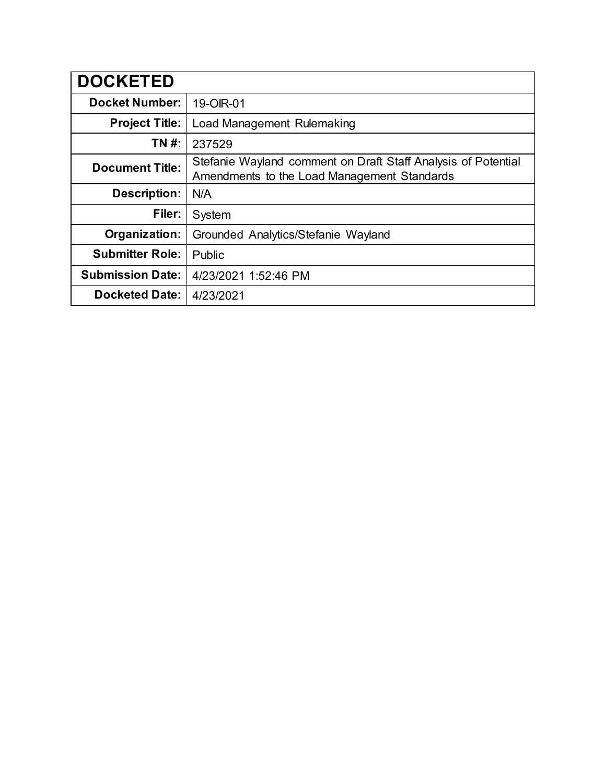| <b>DOCKETED</b>         |                                                                                                              |
|-------------------------|--------------------------------------------------------------------------------------------------------------|
| <b>Docket Number:</b>   | 19-OIR-01                                                                                                    |
| <b>Project Title:</b>   | Load Management Rulemaking                                                                                   |
| TN #:                   | 237529                                                                                                       |
| <b>Document Title:</b>  | Stefanie Wayland comment on Draft Staff Analysis of Potential<br>Amendments to the Load Management Standards |
| <b>Description:</b>     | N/A                                                                                                          |
| Filer:                  | System                                                                                                       |
| Organization:           | Grounded Analytics/Stefanie Wayland                                                                          |
| <b>Submitter Role:</b>  | Public                                                                                                       |
| <b>Submission Date:</b> | 4/23/2021 1:52:46 PM                                                                                         |
| <b>Docketed Date:</b>   | 4/23/2021                                                                                                    |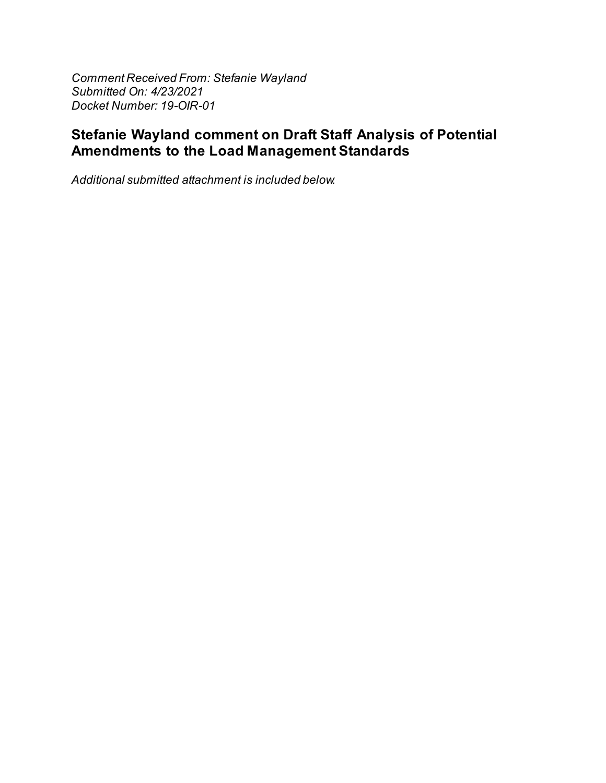Comment Received From: Stefanie Wayland Submitted On: 4/23/2021 Docket Number: 19-OIR-01

# Stefanie Wayland comment on Draft Staff Analysis of Potential Amendments to the Load Management Standards

Additional submitted attachment is included below.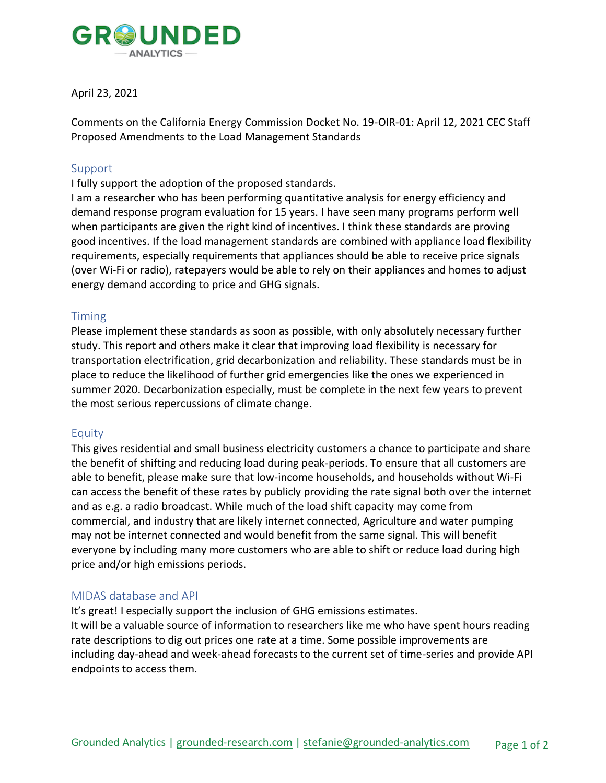

### April 23, 2021

Comments on the California Energy Commission Docket No. 19-OIR-01: April 12, 2021 CEC Staff Proposed Amendments to the Load Management Standards

#### Support

I fully support the adoption of the proposed standards.

I am a researcher who has been performing quantitative analysis for energy efficiency and demand response program evaluation for 15 years. I have seen many programs perform well when participants are given the right kind of incentives. I think these standards are proving good incentives. If the load management standards are combined with appliance load flexibility requirements, especially requirements that appliances should be able to receive price signals (over Wi-Fi or radio), ratepayers would be able to rely on their appliances and homes to adjust energy demand according to price and GHG signals.

### Timing

Please implement these standards as soon as possible, with only absolutely necessary further study. This report and others make it clear that improving load flexibility is necessary for transportation electrification, grid decarbonization and reliability. These standards must be in place to reduce the likelihood of further grid emergencies like the ones we experienced in summer 2020. Decarbonization especially, must be complete in the next few years to prevent the most serious repercussions of climate change.

### Equity

This gives residential and small business electricity customers a chance to participate and share the benefit of shifting and reducing load during peak-periods. To ensure that all customers are able to benefit, please make sure that low-income households, and households without Wi-Fi can access the benefit of these rates by publicly providing the rate signal both over the internet and as e.g. a radio broadcast. While much of the load shift capacity may come from commercial, and industry that are likely internet connected, Agriculture and water pumping may not be internet connected and would benefit from the same signal. This will benefit everyone by including many more customers who are able to shift or reduce load during high price and/or high emissions periods.

### MIDAS database and API

It's great! I especially support the inclusion of GHG emissions estimates. It will be a valuable source of information to researchers like me who have spent hours reading rate descriptions to dig out prices one rate at a time. Some possible improvements are including day-ahead and week-ahead forecasts to the current set of time-series and provide API endpoints to access them.